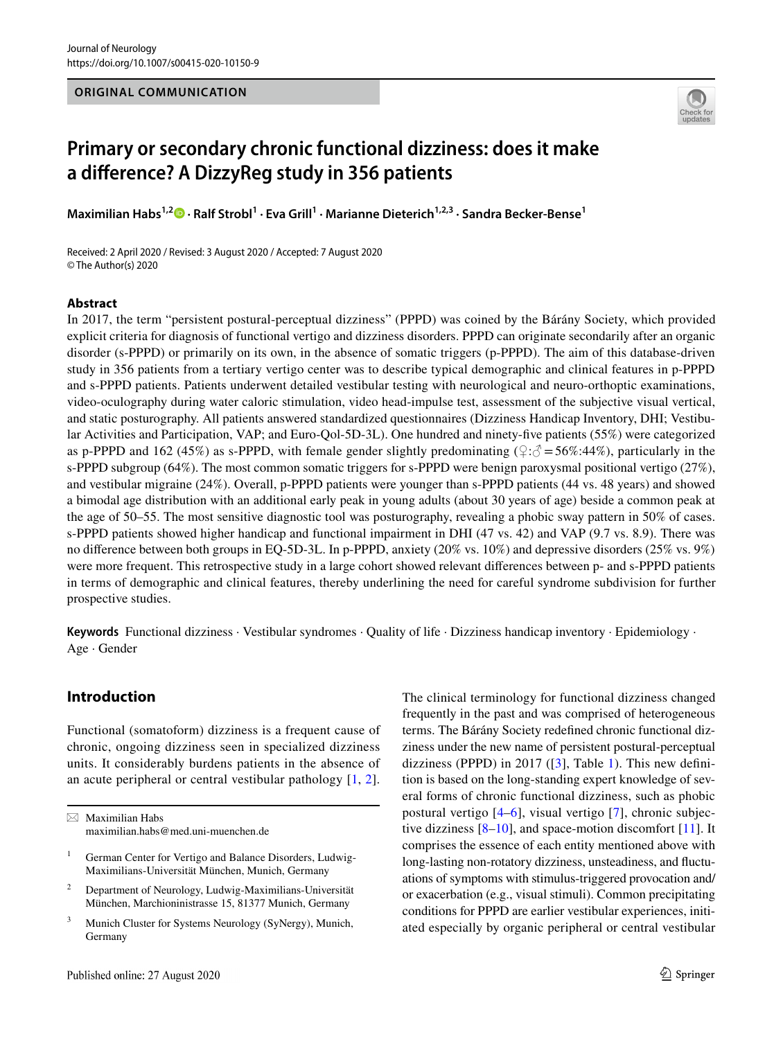#### **ORIGINAL COMMUNICATION**



# **Primary or secondary chronic functional dizziness: does it make a diference? A DizzyReg study in 356 patients**

Maximilian Habs<sup>1,2</sup><sup>®</sup> [·](http://orcid.org/0000-0002-8722-6912) Ralf Strobl<sup>1</sup> · Eva Grill<sup>1</sup> · Marianne Dieterich<sup>1,2,3</sup> · Sandra Becker-Bense<sup>1</sup>

Received: 2 April 2020 / Revised: 3 August 2020 / Accepted: 7 August 2020 © The Author(s) 2020

#### **Abstract**

In 2017, the term "persistent postural-perceptual dizziness" (PPPD) was coined by the Bárány Society, which provided explicit criteria for diagnosis of functional vertigo and dizziness disorders. PPPD can originate secondarily after an organic disorder (s-PPPD) or primarily on its own, in the absence of somatic triggers (p-PPPD). The aim of this database-driven study in 356 patients from a tertiary vertigo center was to describe typical demographic and clinical features in p-PPPD and s-PPPD patients. Patients underwent detailed vestibular testing with neurological and neuro-orthoptic examinations, video-oculography during water caloric stimulation, video head-impulse test, assessment of the subjective visual vertical, and static posturography. All patients answered standardized questionnaires (Dizziness Handicap Inventory, DHI; Vestibular Activities and Participation, VAP; and Euro-Qol-5D-3L). One hundred and ninety-fve patients (55%) were categorized as p-PPPD and 162 (45%) as s-PPPD, with female gender slightly predominating ( $\mathcal{Q}:\mathcal{J} = 56\%$ :44%), particularly in the s-PPPD subgroup (64%). The most common somatic triggers for s-PPPD were benign paroxysmal positional vertigo (27%), and vestibular migraine (24%). Overall, p-PPPD patients were younger than s-PPPD patients (44 vs. 48 years) and showed a bimodal age distribution with an additional early peak in young adults (about 30 years of age) beside a common peak at the age of 50–55. The most sensitive diagnostic tool was posturography, revealing a phobic sway pattern in 50% of cases. s-PPPD patients showed higher handicap and functional impairment in DHI (47 vs. 42) and VAP (9.7 vs. 8.9). There was no diference between both groups in EQ-5D-3L. In p-PPPD, anxiety (20% vs. 10%) and depressive disorders (25% vs. 9%) were more frequent. This retrospective study in a large cohort showed relevant diferences between p- and s-PPPD patients in terms of demographic and clinical features, thereby underlining the need for careful syndrome subdivision for further prospective studies.

**Keywords** Functional dizziness · Vestibular syndromes · Quality of life · Dizziness handicap inventory · Epidemiology · Age · Gender

## **Introduction**

Functional (somatoform) dizziness is a frequent cause of chronic, ongoing dizziness seen in specialized dizziness units. It considerably burdens patients in the absence of an acute peripheral or central vestibular pathology [\[1](#page-9-0), [2](#page-9-1)].

The clinical terminology for functional dizziness changed frequently in the past and was comprised of heterogeneous terms. The Bárány Society redefned chronic functional dizziness under the new name of persistent postural-perceptual dizziness (PPPD) in 2017 ([\[3\]](#page-9-2), Table [1\)](#page-1-0). This new defnition is based on the long-standing expert knowledge of several forms of chronic functional dizziness, such as phobic postural vertigo [\[4](#page-9-3)–[6\]](#page-9-4), visual vertigo [\[7\]](#page-9-5), chronic subjective dizziness  $[8-10]$  $[8-10]$  $[8-10]$ , and space-motion discomfort  $[11]$ . It comprises the essence of each entity mentioned above with long-lasting non-rotatory dizziness, unsteadiness, and fuctuations of symptoms with stimulus-triggered provocation and/ or exacerbation (e.g., visual stimuli). Common precipitating conditions for PPPD are earlier vestibular experiences, initiated especially by organic peripheral or central vestibular

 $\boxtimes$  Maximilian Habs maximilian.habs@med.uni-muenchen.de

<sup>&</sup>lt;sup>1</sup> German Center for Vertigo and Balance Disorders, Ludwig-Maximilians-Universität München, Munich, Germany

<sup>2</sup> Department of Neurology, Ludwig-Maximilians-Universität München, Marchioninistrasse 15, 81377 Munich, Germany

<sup>&</sup>lt;sup>3</sup> Munich Cluster for Systems Neurology (SyNergy), Munich, Germany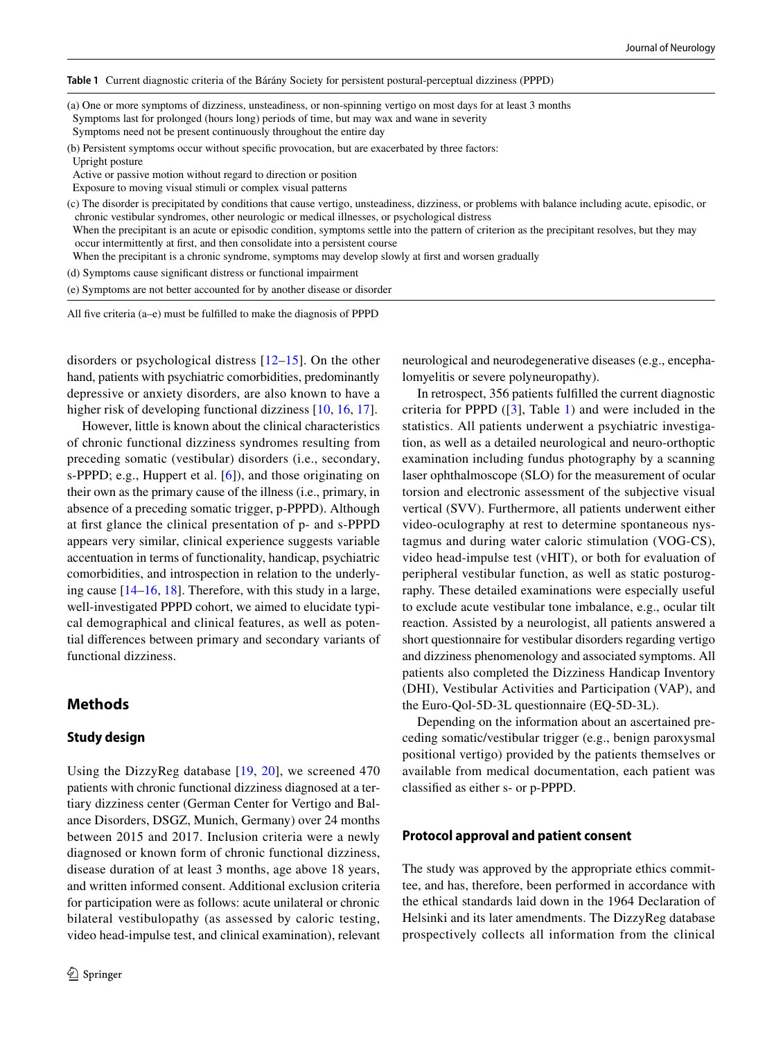<span id="page-1-0"></span>**Table 1** Current diagnostic criteria of the Bárány Society for persistent postural-perceptual dizziness (PPPD)

| (a) One or more symptoms of dizziness, unsteadiness, or non-spinning vertigo on most days for at least 3 months |
|-----------------------------------------------------------------------------------------------------------------|
| Symptoms last for prolonged (hours long) periods of time, but may wax and wane in severity                      |
| المحار المتلفظ والملف فاحتراه ومحتاف والمتحوض والمتحول فتتحددهما فحال الحاجين ومستحفظ والمتحدث                  |

Symptoms need not be present continuously throughout the entire day

(b) Persistent symptoms occur without specifc provocation, but are exacerbated by three factors: Upright posture

Active or passive motion without regard to direction or position

Exposure to moving visual stimuli or complex visual patterns

(c) The disorder is precipitated by conditions that cause vertigo, unsteadiness, dizziness, or problems with balance including acute, episodic, or chronic vestibular syndromes, other neurologic or medical illnesses, or psychological distress

When the precipitant is an acute or episodic condition, symptoms settle into the pattern of criterion as the precipitant resolves, but they may occur intermittently at frst, and then consolidate into a persistent course

When the precipitant is a chronic syndrome, symptoms may develop slowly at first and worsen gradually

(d) Symptoms cause signifcant distress or functional impairment

(e) Symptoms are not better accounted for by another disease or disorder

All fve criteria (a–e) must be fulflled to make the diagnosis of PPPD

disorders or psychological distress [[12–](#page-9-9)[15](#page-9-10)]. On the other hand, patients with psychiatric comorbidities, predominantly depressive or anxiety disorders, are also known to have a higher risk of developing functional dizziness [\[10](#page-9-7), [16](#page-9-11), [17\]](#page-9-12).

However, little is known about the clinical characteristics of chronic functional dizziness syndromes resulting from preceding somatic (vestibular) disorders (i.e., secondary, s-PPPD; e.g., Huppert et al. [[6\]](#page-9-4)), and those originating on their own as the primary cause of the illness (i.e., primary, in absence of a preceding somatic trigger, p-PPPD). Although at frst glance the clinical presentation of p- and s-PPPD appears very similar, clinical experience suggests variable accentuation in terms of functionality, handicap, psychiatric comorbidities, and introspection in relation to the underlying cause [[14–](#page-9-13)[16,](#page-9-11) [18\]](#page-9-14). Therefore, with this study in a large, well-investigated PPPD cohort, we aimed to elucidate typical demographical and clinical features, as well as potential diferences between primary and secondary variants of functional dizziness.

## **Methods**

#### **Study design**

Using the DizzyReg database [[19](#page-9-15), [20](#page-9-16)], we screened 470 patients with chronic functional dizziness diagnosed at a tertiary dizziness center (German Center for Vertigo and Balance Disorders, DSGZ, Munich, Germany) over 24 months between 2015 and 2017. Inclusion criteria were a newly diagnosed or known form of chronic functional dizziness, disease duration of at least 3 months, age above 18 years, and written informed consent. Additional exclusion criteria for participation were as follows: acute unilateral or chronic bilateral vestibulopathy (as assessed by caloric testing, video head-impulse test, and clinical examination), relevant neurological and neurodegenerative diseases (e.g., encephalomyelitis or severe polyneuropathy).

In retrospect, 356 patients fulflled the current diagnostic criteria for PPPD  $(3]$  $(3]$ , Table [1](#page-1-0)) and were included in the statistics. All patients underwent a psychiatric investigation, as well as a detailed neurological and neuro-orthoptic examination including fundus photography by a scanning laser ophthalmoscope (SLO) for the measurement of ocular torsion and electronic assessment of the subjective visual vertical (SVV). Furthermore, all patients underwent either video-oculography at rest to determine spontaneous nystagmus and during water caloric stimulation (VOG-CS), video head-impulse test (vHIT), or both for evaluation of peripheral vestibular function, as well as static posturography. These detailed examinations were especially useful to exclude acute vestibular tone imbalance, e.g., ocular tilt reaction. Assisted by a neurologist, all patients answered a short questionnaire for vestibular disorders regarding vertigo and dizziness phenomenology and associated symptoms. All patients also completed the Dizziness Handicap Inventory (DHI), Vestibular Activities and Participation (VAP), and the Euro-Qol-5D-3L questionnaire (EQ-5D-3L).

Depending on the information about an ascertained preceding somatic/vestibular trigger (e.g., benign paroxysmal positional vertigo) provided by the patients themselves or available from medical documentation, each patient was classifed as either s- or p-PPPD.

#### **Protocol approval and patient consent**

The study was approved by the appropriate ethics committee, and has, therefore, been performed in accordance with the ethical standards laid down in the 1964 Declaration of Helsinki and its later amendments. The DizzyReg database prospectively collects all information from the clinical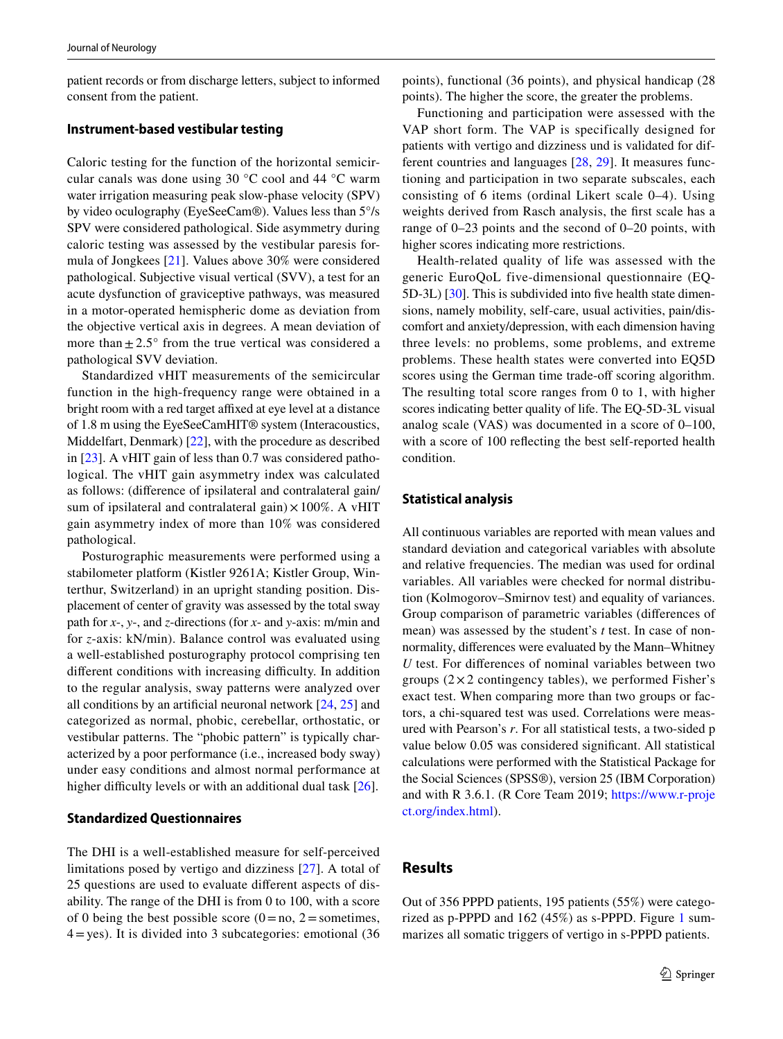patient records or from discharge letters, subject to informed consent from the patient.

#### **Instrument‑based vestibular testing**

Caloric testing for the function of the horizontal semicircular canals was done using 30 °C cool and 44 °C warm water irrigation measuring peak slow-phase velocity (SPV) by video oculography (EyeSeeCam®). Values less than 5°/s SPV were considered pathological. Side asymmetry during caloric testing was assessed by the vestibular paresis formula of Jongkees [[21\]](#page-9-17). Values above 30% were considered pathological. Subjective visual vertical (SVV), a test for an acute dysfunction of graviceptive pathways, was measured in a motor-operated hemispheric dome as deviation from the objective vertical axis in degrees. A mean deviation of more than  $\pm 2.5^{\circ}$  from the true vertical was considered a pathological SVV deviation.

Standardized vHIT measurements of the semicircular function in the high-frequency range were obtained in a bright room with a red target affixed at eye level at a distance of 1.8 m using the EyeSeeCamHIT® system (Interacoustics, Middelfart, Denmark) [[22\]](#page-9-18), with the procedure as described in [[23\]](#page-9-19). A vHIT gain of less than 0.7 was considered pathological. The vHIT gain asymmetry index was calculated as follows: (diference of ipsilateral and contralateral gain/ sum of ipsilateral and contralateral gain) $\times$ 100%. A vHIT gain asymmetry index of more than 10% was considered pathological.

Posturographic measurements were performed using a stabilometer platform (Kistler 9261A; Kistler Group, Winterthur, Switzerland) in an upright standing position. Displacement of center of gravity was assessed by the total sway path for *x*-, *y*-, and *z*-directions (for *x*- and *y*-axis: m/min and for *z*-axis: kN/min). Balance control was evaluated using a well-established posturography protocol comprising ten different conditions with increasing difficulty. In addition to the regular analysis, sway patterns were analyzed over all conditions by an artifcial neuronal network [[24,](#page-9-20) [25\]](#page-9-21) and categorized as normal, phobic, cerebellar, orthostatic, or vestibular patterns. The "phobic pattern" is typically characterized by a poor performance (i.e., increased body sway) under easy conditions and almost normal performance at higher difficulty levels or with an additional dual task  $[26]$  $[26]$ .

## **Standardized Questionnaires**

The DHI is a well-established measure for self-perceived limitations posed by vertigo and dizziness [\[27\]](#page-9-23). A total of 25 questions are used to evaluate diferent aspects of disability. The range of the DHI is from 0 to 100, with a score of 0 being the best possible score  $(0=no, 2=sometimes,$ 4=yes). It is divided into 3 subcategories: emotional (36 points), functional (36 points), and physical handicap (28 points). The higher the score, the greater the problems.

Functioning and participation were assessed with the VAP short form. The VAP is specifically designed for patients with vertigo and dizziness und is validated for different countries and languages [[28](#page-9-24), [29\]](#page-9-25). It measures functioning and participation in two separate subscales, each consisting of 6 items (ordinal Likert scale 0–4). Using weights derived from Rasch analysis, the frst scale has a range of 0–23 points and the second of 0–20 points, with higher scores indicating more restrictions.

Health-related quality of life was assessed with the generic EuroQoL five-dimensional questionnaire (EQ-5D-3L) [[30\]](#page-9-26). This is subdivided into fve health state dimensions, namely mobility, self-care, usual activities, pain/discomfort and anxiety/depression, with each dimension having three levels: no problems, some problems, and extreme problems. These health states were converted into EQ5D scores using the German time trade-off scoring algorithm. The resulting total score ranges from 0 to 1, with higher scores indicating better quality of life. The EQ-5D-3L visual analog scale (VAS) was documented in a score of 0–100, with a score of 100 refecting the best self-reported health condition.

#### **Statistical analysis**

All continuous variables are reported with mean values and standard deviation and categorical variables with absolute and relative frequencies. The median was used for ordinal variables. All variables were checked for normal distribution (Kolmogorov–Smirnov test) and equality of variances. Group comparison of parametric variables (diferences of mean) was assessed by the student's *t* test. In case of nonnormality, diferences were evaluated by the Mann–Whitney *U* test. For diferences of nominal variables between two groups  $(2 \times 2$  contingency tables), we performed Fisher's exact test. When comparing more than two groups or factors, a chi-squared test was used. Correlations were measured with Pearson's *r*. For all statistical tests, a two-sided p value below 0.05 was considered signifcant. All statistical calculations were performed with the Statistical Package for the Social Sciences (SPSS®), version 25 (IBM Corporation) and with R 3.6.1. (R Core Team 2019; [https://www.r-proje](https://www.r-project.org/index.html) [ct.org/index.html\)](https://www.r-project.org/index.html).

#### **Results**

Out of 356 PPPD patients, 195 patients (55%) were categorized as p-PPPD and  $162 (45%)$  $162 (45%)$  as s-PPPD. Figure 1 summarizes all somatic triggers of vertigo in s-PPPD patients.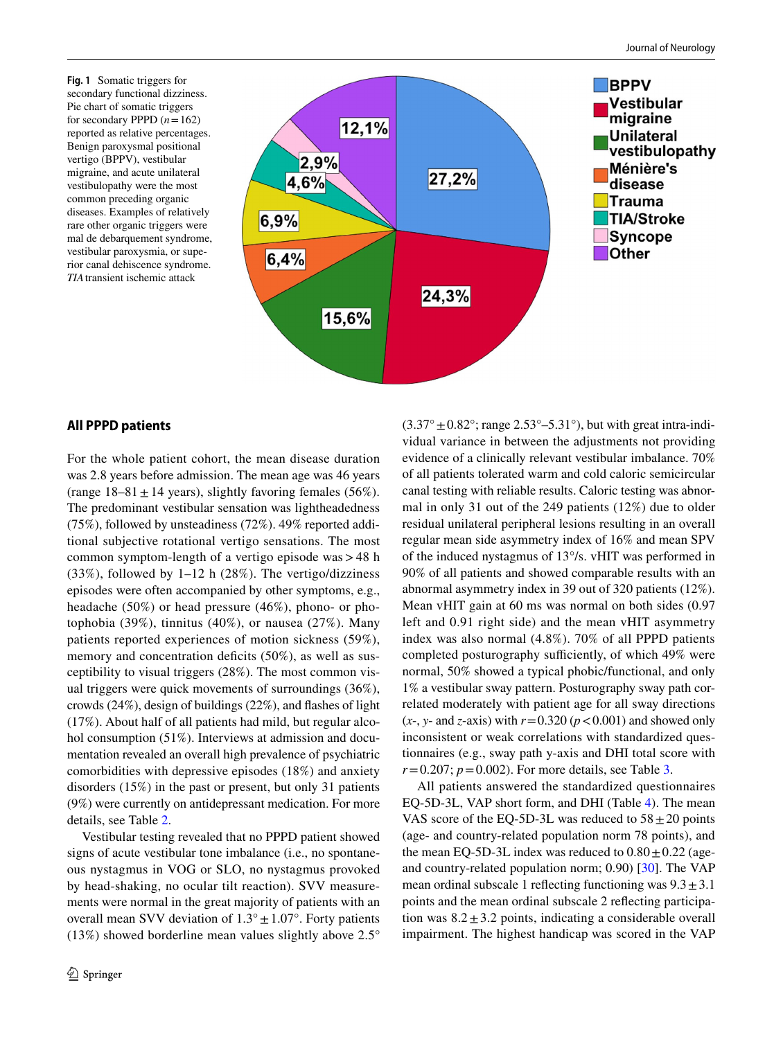<span id="page-3-0"></span>**Fig. 1** Somatic triggers for secondary functional dizziness. Pie chart of somatic triggers for secondary PPPD  $(n=162)$ reported as relative percentages. Benign paroxysmal positional vertigo (BPPV), vestibular migraine, and acute unilateral vestibulopathy were the most common preceding organic diseases. Examples of relatively rare other organic triggers were mal de debarquement syndrome, vestibular paroxysmia, or superior canal dehiscence syndrome. *TIA*transient ischemic attack



#### **All PPPD patients**

For the whole patient cohort, the mean disease duration was 2.8 years before admission. The mean age was 46 years (range  $18-81 \pm 14$  years), slightly favoring females (56%). The predominant vestibular sensation was lightheadedness (75%), followed by unsteadiness (72%). 49% reported additional subjective rotational vertigo sensations. The most common symptom-length of a vertigo episode was>48 h (33%), followed by  $1-12$  h (28%). The vertigo/dizziness episodes were often accompanied by other symptoms, e.g., headache (50%) or head pressure (46%), phono- or photophobia (39%), tinnitus (40%), or nausea (27%). Many patients reported experiences of motion sickness (59%), memory and concentration deficits (50%), as well as susceptibility to visual triggers (28%). The most common visual triggers were quick movements of surroundings (36%), crowds (24%), design of buildings (22%), and fashes of light (17%). About half of all patients had mild, but regular alcohol consumption (51%). Interviews at admission and documentation revealed an overall high prevalence of psychiatric comorbidities with depressive episodes (18%) and anxiety disorders (15%) in the past or present, but only 31 patients (9%) were currently on antidepressant medication. For more details, see Table [2.](#page-4-0)

Vestibular testing revealed that no PPPD patient showed signs of acute vestibular tone imbalance (i.e., no spontaneous nystagmus in VOG or SLO, no nystagmus provoked by head-shaking, no ocular tilt reaction). SVV measurements were normal in the great majority of patients with an overall mean SVV deviation of  $1.3^{\circ} \pm 1.07^{\circ}$ . Forty patients  $(13\%)$  showed borderline mean values slightly above 2.5 $\degree$   $(3.37^\circ \pm 0.82^\circ)$ ; range 2.53°–5.31°), but with great intra-individual variance in between the adjustments not providing evidence of a clinically relevant vestibular imbalance. 70% of all patients tolerated warm and cold caloric semicircular canal testing with reliable results. Caloric testing was abnormal in only 31 out of the 249 patients (12%) due to older residual unilateral peripheral lesions resulting in an overall regular mean side asymmetry index of 16% and mean SPV of the induced nystagmus of 13°/s. vHIT was performed in 90% of all patients and showed comparable results with an abnormal asymmetry index in 39 out of 320 patients (12%). Mean vHIT gain at 60 ms was normal on both sides  $(0.97)$ left and 0.91 right side) and the mean vHIT asymmetry index was also normal (4.8%). 70% of all PPPD patients completed posturography sufficiently, of which 49% were normal, 50% showed a typical phobic/functional, and only 1% a vestibular sway pattern. Posturography sway path correlated moderately with patient age for all sway directions  $(x-$ , *y*- and *z*-axis) with  $r=0.320 (p<0.001)$  and showed only inconsistent or weak correlations with standardized questionnaires (e.g., sway path y-axis and DHI total score with  $r=0.207$ ;  $p=0.002$ ). For more details, see Table [3.](#page-5-0)

All patients answered the standardized questionnaires EQ-5D-3L, VAP short form, and DHI (Table [4\)](#page-6-0). The mean VAS score of the EQ-5D-3L was reduced to  $58 \pm 20$  points (age- and country-related population norm 78 points), and the mean EQ-5D-3L index was reduced to  $0.80 \pm 0.22$  (ageand country-related population norm; 0.90) [[30](#page-9-26)]. The VAP mean ordinal subscale 1 reflecting functioning was  $9.3 \pm 3.1$ points and the mean ordinal subscale 2 refecting participation was  $8.2 \pm 3.2$  points, indicating a considerable overall impairment. The highest handicap was scored in the VAP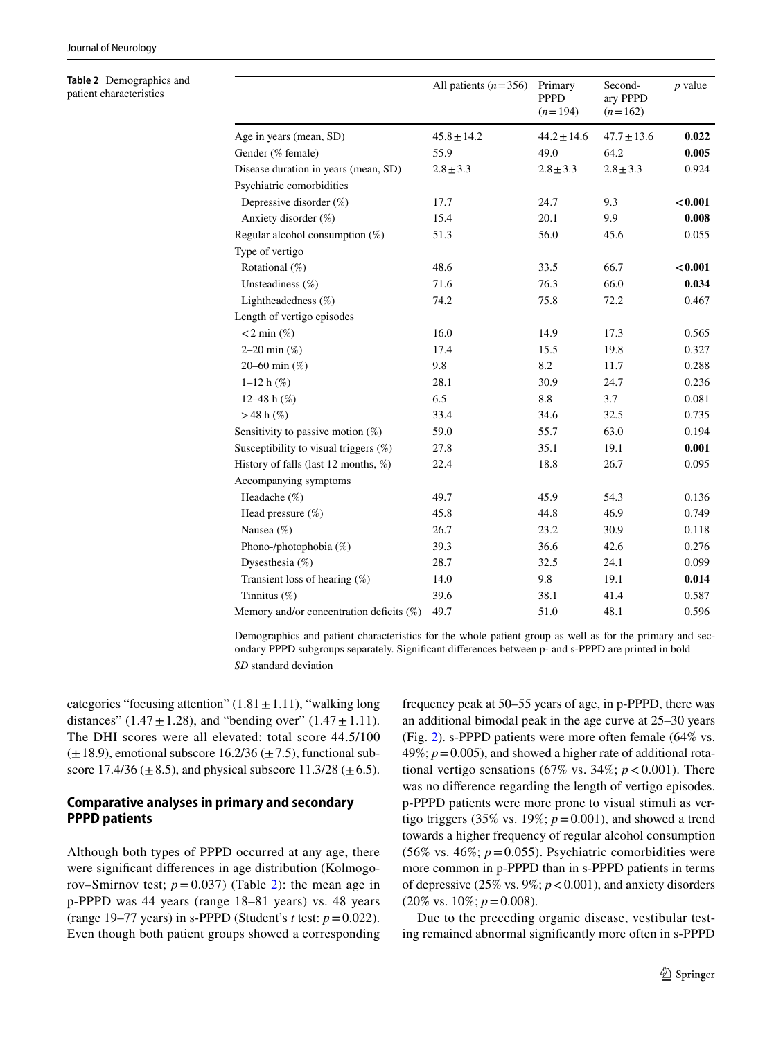<span id="page-4-0"></span>**Table 2** Demographics and patient characteristics

|                                          | All patients $(n=356)$ | Primary<br><b>PPPD</b><br>$(n=194)$ | Second-<br>ary PPPD<br>$(n=162)$ | $p$ value |
|------------------------------------------|------------------------|-------------------------------------|----------------------------------|-----------|
| Age in years (mean, SD)                  | $45.8 \pm 14.2$        | $44.2 \pm 14.6$                     | $47.7 \pm 13.6$                  | 0.022     |
| Gender (% female)                        | 55.9                   | 49.0                                | 64.2                             | 0.005     |
| Disease duration in years (mean, SD)     | $2.8 \pm 3.3$          | $2.8 \pm 3.3$                       | $2.8 \pm 3.3$                    | 0.924     |
| Psychiatric comorbidities                |                        |                                     |                                  |           |
| Depressive disorder $(\%)$               | 17.7                   | 24.7                                | 9.3                              | < 0.001   |
| Anxiety disorder (%)                     | 15.4                   | 20.1                                | 9.9                              | 0.008     |
| Regular alcohol consumption $(\%)$       | 51.3                   | 56.0                                | 45.6                             | 0.055     |
| Type of vertigo                          |                        |                                     |                                  |           |
| Rotational (%)                           | 48.6                   | 33.5                                | 66.7                             | < 0.001   |
| Unsteadiness $(\%)$                      | 71.6                   | 76.3                                | 66.0                             | 0.034     |
| Lightheadedness (%)                      | 74.2                   | 75.8                                | 72.2                             | 0.467     |
| Length of vertigo episodes               |                        |                                     |                                  |           |
| $<$ 2 min $(\%)$                         | 16.0                   | 14.9                                | 17.3                             | 0.565     |
| 2–20 min $(\%)$                          | 17.4                   | 15.5                                | 19.8                             | 0.327     |
| 20–60 min $(\%)$                         | 9.8                    | 8.2                                 | 11.7                             | 0.288     |
| $1-12h$ (%)                              | 28.1                   | 30.9                                | 24.7                             | 0.236     |
| 12–48 h $(\%)$                           | 6.5                    | 8.8                                 | 3.7                              | 0.081     |
| $>48 h$ (%)                              | 33.4                   | 34.6                                | 32.5                             | 0.735     |
| Sensitivity to passive motion $(\%)$     | 59.0                   | 55.7                                | 63.0                             | 0.194     |
| Susceptibility to visual triggers $(\%)$ | 27.8                   | 35.1                                | 19.1                             | 0.001     |
| History of falls (last 12 months, %)     | 22.4                   | 18.8                                | 26.7                             | 0.095     |
| Accompanying symptoms                    |                        |                                     |                                  |           |
| Headache $(\%)$                          | 49.7                   | 45.9                                | 54.3                             | 0.136     |
| Head pressure $(\%)$                     | 45.8                   | 44.8                                | 46.9                             | 0.749     |
| Nausea $(\%)$                            | 26.7                   | 23.2                                | 30.9                             | 0.118     |
| Phono-/photophobia (%)                   | 39.3                   | 36.6                                | 42.6                             | 0.276     |
| Dysesthesia $(\%)$                       | 28.7                   | 32.5                                | 24.1                             | 0.099     |
| Transient loss of hearing $(\%)$         | 14.0                   | 9.8                                 | 19.1                             | 0.014     |
| Tinnitus (%)                             | 39.6                   | 38.1                                | 41.4                             | 0.587     |
| Memory and/or concentration deficits (%) | 49.7                   | 51.0                                | 48.1                             | 0.596     |

Demographics and patient characteristics for the whole patient group as well as for the primary and secondary PPPD subgroups separately. Signifcant diferences between p- and s-PPPD are printed in bold *SD* standard deviation

categories "focusing attention"  $(1.81 \pm 1.11)$ , "walking long distances" (1.47 $\pm$ 1.28), and "bending over" (1.47 $\pm$ 1.11). The DHI scores were all elevated: total score 44.5/100  $(\pm 18.9)$ , emotional subscore 16.2/36 ( $\pm 7.5$ ), functional subscore 17.4/36 ( $\pm$  8.5), and physical subscore 11.3/28 ( $\pm$  6.5).

## **Comparative analyses in primary and secondary PPPD patients**

Although both types of PPPD occurred at any age, there were signifcant diferences in age distribution (Kolmogorov–Smirnov test;  $p=0.037$ ) (Table [2](#page-4-0)): the mean age in p-PPPD was 44 years (range 18–81 years) vs. 48 years (range 19–77 years) in s-PPPD (Student's *t* test: *p*=0.022). Even though both patient groups showed a corresponding

frequency peak at 50–55 years of age, in p-PPPD, there was an additional bimodal peak in the age curve at 25–30 years (Fig. [2](#page-6-1)). s-PPPD patients were more often female (64% vs.  $49\%; p=0.005$ ), and showed a higher rate of additional rotational vertigo sensations (67% vs. 34%;  $p < 0.001$ ). There was no diference regarding the length of vertigo episodes. p-PPPD patients were more prone to visual stimuli as vertigo triggers (35% vs. 19%;  $p=0.001$ ), and showed a trend towards a higher frequency of regular alcohol consumption (56% vs. 46%;  $p = 0.055$ ). Psychiatric comorbidities were more common in p-PPPD than in s-PPPD patients in terms of depressive (25% vs. 9%; *p*<0.001), and anxiety disorders  $(20\% \text{ vs. } 10\%; p=0.008).$ 

Due to the preceding organic disease, vestibular testing remained abnormal signifcantly more often in s-PPPD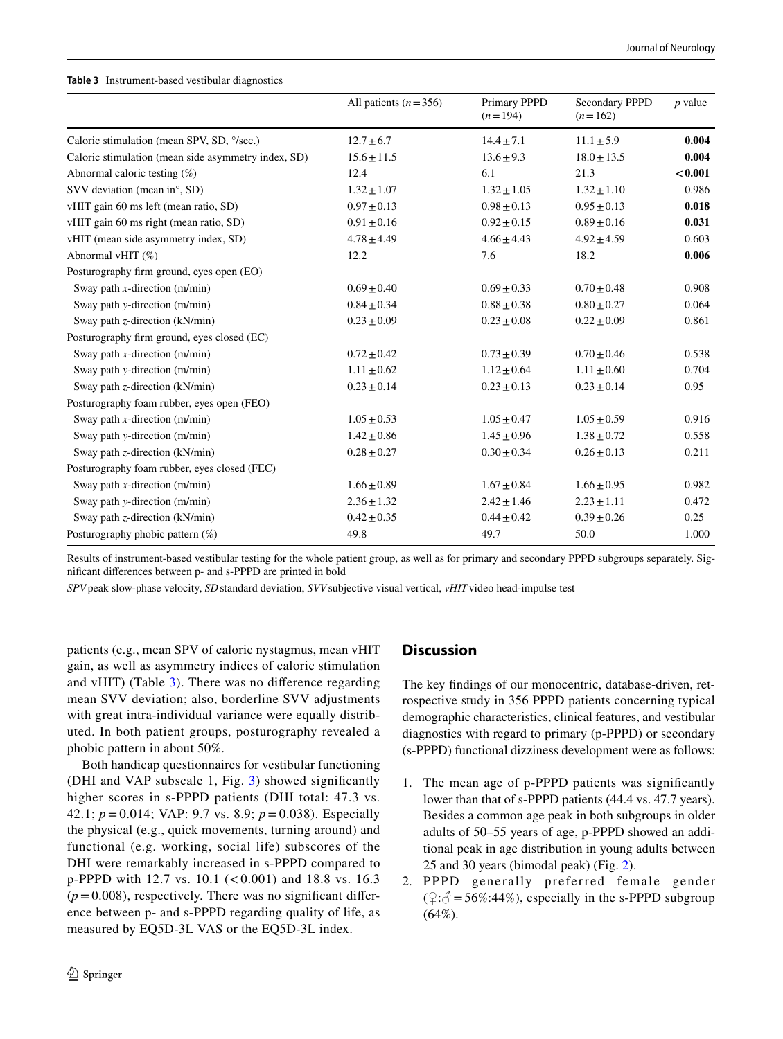|                                                     | All patients $(n=356)$ | Primary PPPD<br>$(n=194)$ | <b>Secondary PPPD</b><br>$(n=162)$ | $p$ value |
|-----------------------------------------------------|------------------------|---------------------------|------------------------------------|-----------|
| Caloric stimulation (mean SPV, SD, °/sec.)          | $12.7 \pm 6.7$         | $14.4 \pm 7.1$            | $11.1 \pm 5.9$                     | 0.004     |
| Caloric stimulation (mean side asymmetry index, SD) | $15.6 \pm 11.5$        | $13.6 \pm 9.3$            | $18.0 \pm 13.5$                    | 0.004     |
| Abnormal caloric testing $(\%)$                     | 12.4                   | 6.1                       | 21.3                               | < 0.001   |
| SVV deviation (mean in <sup>o</sup> , SD)           | $1.32 \pm 1.07$        | $1.32 \pm 1.05$           | $1.32 \pm 1.10$                    | 0.986     |
| vHIT gain 60 ms left (mean ratio, SD)               | $0.97 \pm 0.13$        | $0.98 \pm 0.13$           | $0.95 \pm 0.13$                    | 0.018     |
| vHIT gain 60 ms right (mean ratio, SD)              | $0.91 \pm 0.16$        | $0.92 \pm 0.15$           | $0.89 \pm 0.16$                    | 0.031     |
| vHIT (mean side asymmetry index, SD)                | $4.78 \pm 4.49$        | $4.66 \pm 4.43$           | $4.92 \pm 4.59$                    | 0.603     |
| Abnormal vHIT (%)                                   | 12.2                   | 7.6                       | 18.2                               | 0.006     |
| Posturography firm ground, eyes open (EO)           |                        |                           |                                    |           |
| Sway path $x$ -direction (m/min)                    | $0.69 \pm 0.40$        | $0.69 \pm 0.33$           | $0.70 \pm 0.48$                    | 0.908     |
| Sway path y-direction (m/min)                       | $0.84 \pm 0.34$        | $0.88 \pm 0.38$           | $0.80 \pm 0.27$                    | 0.064     |
| Sway path $z$ -direction (kN/min)                   | $0.23 \pm 0.09$        | $0.23 \pm 0.08$           | $0.22 \pm 0.09$                    | 0.861     |
| Posturography firm ground, eyes closed (EC)         |                        |                           |                                    |           |
| Sway path x-direction $(m/min)$                     | $0.72 \pm 0.42$        | $0.73 \pm 0.39$           | $0.70 + 0.46$                      | 0.538     |
| Sway path y-direction (m/min)                       | $1.11 \pm 0.62$        | $1.12 \pm 0.64$           | $1.11 \pm 0.60$                    | 0.704     |
| Sway path $z$ -direction (kN/min)                   | $0.23 \pm 0.14$        | $0.23 \pm 0.13$           | $0.23 \pm 0.14$                    | 0.95      |
| Posturography foam rubber, eyes open (FEO)          |                        |                           |                                    |           |
| Sway path x-direction $(m/min)$                     | $1.05 \pm 0.53$        | $1.05 \pm 0.47$           | $1.05 \pm 0.59$                    | 0.916     |
| Sway path y-direction (m/min)                       | $1.42 \pm 0.86$        | $1.45 \pm 0.96$           | $1.38 \pm 0.72$                    | 0.558     |
| Sway path $z$ -direction (kN/min)                   | $0.28 \pm 0.27$        | $0.30 \pm 0.34$           | $0.26 \pm 0.13$                    | 0.211     |
| Posturography foam rubber, eyes closed (FEC)        |                        |                           |                                    |           |
| Sway path $x$ -direction (m/min)                    | $1.66 \pm 0.89$        | $1.67 \pm 0.84$           | $1.66 \pm 0.95$                    | 0.982     |
| Sway path y-direction (m/min)                       | $2.36 \pm 1.32$        | $2.42 \pm 1.46$           | $2.23 \pm 1.11$                    | 0.472     |
| Sway path $z$ -direction (kN/min)                   | $0.42 \pm 0.35$        | $0.44 \pm 0.42$           | $0.39 \pm 0.26$                    | 0.25      |
| Posturography phobic pattern $(\%)$                 | 49.8                   | 49.7                      | 50.0                               | 1.000     |

Results of instrument-based vestibular testing for the whole patient group, as well as for primary and secondary PPPD subgroups separately. Signifcant diferences between p- and s-PPPD are printed in bold

*SPV*peak slow-phase velocity, *SD*standard deviation, *SVV*subjective visual vertical, *vHIT*video head-impulse test

patients (e.g., mean SPV of caloric nystagmus, mean vHIT gain, as well as asymmetry indices of caloric stimulation and vHIT) (Table [3](#page-5-0)). There was no diference regarding mean SVV deviation; also, borderline SVV adjustments with great intra-individual variance were equally distributed. In both patient groups, posturography revealed a phobic pattern in about 50%.

<span id="page-5-0"></span>**Table 3** Instrument-based vestibular diagnostics

Both handicap questionnaires for vestibular functioning (DHI and VAP subscale 1, Fig. [3\)](#page-7-0) showed signifcantly higher scores in s-PPPD patients (DHI total: 47.3 vs. 42.1; *p* = 0.014; VAP: 9.7 vs. 8.9; *p* = 0.038). Especially the physical (e.g., quick movements, turning around) and functional (e.g. working, social life) subscores of the DHI were remarkably increased in s-PPPD compared to p-PPPD with 12.7 vs. 10.1 (< 0.001) and 18.8 vs. 16.3  $(p=0.008)$ , respectively. There was no significant difference between p- and s-PPPD regarding quality of life, as measured by EQ5D-3L VAS or the EQ5D-3L index.

## **Discussion**

The key fndings of our monocentric, database-driven, retrospective study in 356 PPPD patients concerning typical demographic characteristics, clinical features, and vestibular diagnostics with regard to primary (p-PPPD) or secondary (s-PPPD) functional dizziness development were as follows:

- 1. The mean age of p-PPPD patients was signifcantly lower than that of s-PPPD patients (44.4 vs. 47.7 years). Besides a common age peak in both subgroups in older adults of 50–55 years of age, p-PPPD showed an additional peak in age distribution in young adults between 25 and 30 years (bimodal peak) (Fig. [2](#page-6-1)).
- 2. PPPD generally preferred female gender  $(\sqrt{2}:\sqrt[3]{\ }=56\%$ :44%), especially in the s-PPPD subgroup (64%).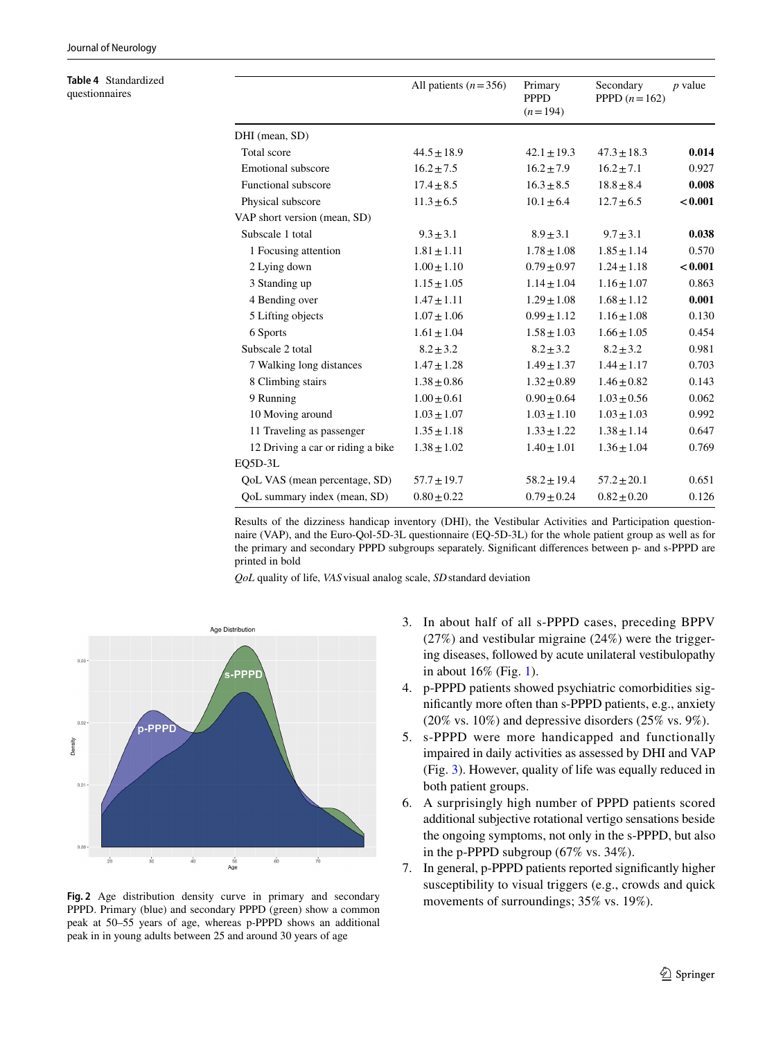<span id="page-6-0"></span>**Table 4** Standardized questionnaires

|                                   | All patients $(n=356)$ | Primary<br><b>PPPD</b><br>$(n=194)$ | Secondary<br>PPPD $(n=162)$ | $p$ value |
|-----------------------------------|------------------------|-------------------------------------|-----------------------------|-----------|
| DHI (mean, SD)                    |                        |                                     |                             |           |
| Total score                       | $44.5 \pm 18.9$        | $42.1 \pm 19.3$                     | $47.3 \pm 18.3$             | 0.014     |
| Emotional subscore                | $16.2 \pm 7.5$         | $16.2 \pm 7.9$                      | $16.2 \pm 7.1$              | 0.927     |
| Functional subscore               | $17.4 \pm 8.5$         | $16.3 \pm 8.5$                      | $18.8 \pm 8.4$              | 0.008     |
| Physical subscore                 | $11.3 \pm 6.5$         | $10.1 \pm 6.4$                      | $12.7 \pm 6.5$              | < 0.001   |
| VAP short version (mean, SD)      |                        |                                     |                             |           |
| Subscale 1 total                  | $9.3 \pm 3.1$          | $8.9 \pm 3.1$                       | $9.7 \pm 3.1$               | 0.038     |
| 1 Focusing attention              | $1.81 \pm 1.11$        | $1.78 \pm 1.08$                     | $1.85 \pm 1.14$             | 0.570     |
| 2 Lying down                      | $1.00 \pm 1.10$        | $0.79 \pm 0.97$                     | $1.24 \pm 1.18$             | < 0.001   |
| 3 Standing up                     | $1.15 \pm 1.05$        | $1.14 \pm 1.04$                     | $1.16 \pm 1.07$             | 0.863     |
| 4 Bending over                    | $1.47 \pm 1.11$        | $1.29 \pm 1.08$                     | $1.68 \pm 1.12$             | 0.001     |
| 5 Lifting objects                 | $1.07 \pm 1.06$        | $0.99 \pm 1.12$                     | $1.16 \pm 1.08$             | 0.130     |
| 6 Sports                          | $1.61 \pm 1.04$        | $1.58 \pm 1.03$                     | $1.66 \pm 1.05$             | 0.454     |
| Subscale 2 total                  | $8.2 \pm 3.2$          | $8.2 \pm 3.2$                       | $8.2 \pm 3.2$               | 0.981     |
| 7 Walking long distances          | $1.47 \pm 1.28$        | $1.49 \pm 1.37$                     | $1.44 \pm 1.17$             | 0.703     |
| 8 Climbing stairs                 | $1.38 \pm 0.86$        | $1.32 \pm 0.89$                     | $1.46 \pm 0.82$             | 0.143     |
| 9 Running                         | $1.00 \pm 0.61$        | $0.90 \pm 0.64$                     | $1.03 \pm 0.56$             | 0.062     |
| 10 Moving around                  | $1.03 \pm 1.07$        | $1.03 \pm 1.10$                     | $1.03 \pm 1.03$             | 0.992     |
| 11 Traveling as passenger         | $1.35 \pm 1.18$        | $1.33 \pm 1.22$                     | $1.38 \pm 1.14$             | 0.647     |
| 12 Driving a car or riding a bike | $1.38 \pm 1.02$        | $1.40 \pm 1.01$                     | $1.36 \pm 1.04$             | 0.769     |
| EQ5D-3L                           |                        |                                     |                             |           |
| QoL VAS (mean percentage, SD)     | $57.7 \pm 19.7$        | $58.2 \pm 19.4$                     | $57.2 \pm 20.1$             | 0.651     |
| QoL summary index (mean, SD)      | $0.80 \pm 0.22$        | $0.79 \pm 0.24$                     | $0.82 \pm 0.20$             | 0.126     |

Results of the dizziness handicap inventory (DHI), the Vestibular Activities and Participation questionnaire (VAP), and the Euro-Qol-5D-3L questionnaire (EQ-5D-3L) for the whole patient group as well as for the primary and secondary PPPD subgroups separately. Signifcant diferences between p- and s-PPPD are printed in bold

*QoL* quality of life, *VAS*visual analog scale, *SD*standard deviation



<span id="page-6-1"></span>**Fig. 2** Age distribution density curve in primary and secondary PPPD. Primary (blue) and secondary PPPD (green) show a common peak at 50–55 years of age, whereas p-PPPD shows an additional peak in in young adults between 25 and around 30 years of age

- 3. In about half of all s-PPPD cases, preceding BPPV (27%) and vestibular migraine (24%) were the triggering diseases, followed by acute unilateral vestibulopathy in about 16% (Fig. [1](#page-3-0)).
- 4. p-PPPD patients showed psychiatric comorbidities signifcantly more often than s-PPPD patients, e.g., anxiety (20% vs. 10%) and depressive disorders (25% vs. 9%).
- 5. s-PPPD were more handicapped and functionally impaired in daily activities as assessed by DHI and VAP (Fig. [3\)](#page-7-0). However, quality of life was equally reduced in both patient groups.
- 6. A surprisingly high number of PPPD patients scored additional subjective rotational vertigo sensations beside the ongoing symptoms, not only in the s-PPPD, but also in the p-PPPD subgroup (67% vs. 34%).
- 7. In general, p-PPPD patients reported signifcantly higher susceptibility to visual triggers (e.g., crowds and quick movements of surroundings; 35% vs. 19%).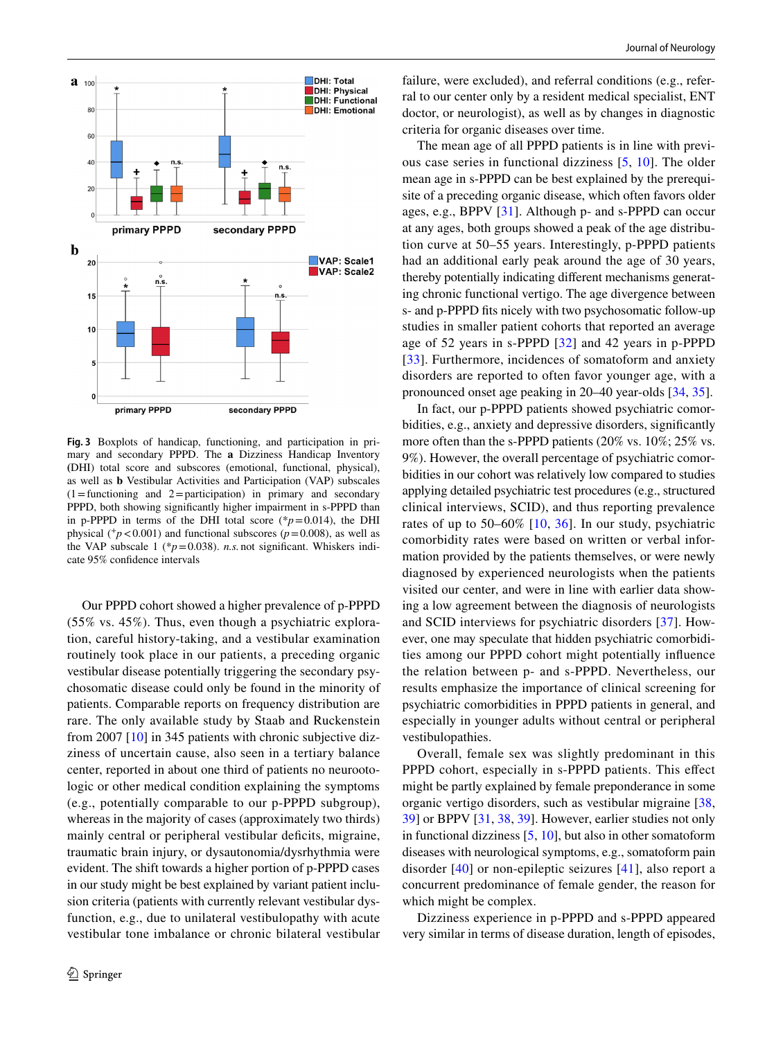

<span id="page-7-0"></span>**Fig. 3** Boxplots of handicap, functioning, and participation in primary and secondary PPPD. The **a** Dizziness Handicap Inventory **(**DHI) total score and subscores (emotional, functional, physical), as well as **b** Vestibular Activities and Participation (VAP) subscales  $(1 = functioning and 2 = participation)$  in primary and secondary PPPD, both showing signifcantly higher impairment in s-PPPD than in p-PPPD in terms of the DHI total score ( $p=0.014$ ), the DHI physical ( $+p < 0.001$ ) and functional subscores ( $p = 0.008$ ), as well as the VAP subscale 1 ( $\ast p = 0.038$ ). *n.s.* not significant. Whiskers indicate 95% confdence intervals

Our PPPD cohort showed a higher prevalence of p-PPPD (55% vs. 45%). Thus, even though a psychiatric exploration, careful history-taking, and a vestibular examination routinely took place in our patients, a preceding organic vestibular disease potentially triggering the secondary psychosomatic disease could only be found in the minority of patients. Comparable reports on frequency distribution are rare. The only available study by Staab and Ruckenstein from 2007 [\[10](#page-9-7)] in 345 patients with chronic subjective dizziness of uncertain cause, also seen in a tertiary balance center, reported in about one third of patients no neurootologic or other medical condition explaining the symptoms (e.g., potentially comparable to our p-PPPD subgroup), whereas in the majority of cases (approximately two thirds) mainly central or peripheral vestibular deficits, migraine, traumatic brain injury, or dysautonomia/dysrhythmia were evident. The shift towards a higher portion of p-PPPD cases in our study might be best explained by variant patient inclusion criteria (patients with currently relevant vestibular dysfunction, e.g., due to unilateral vestibulopathy with acute vestibular tone imbalance or chronic bilateral vestibular failure, were excluded), and referral conditions (e.g., referral to our center only by a resident medical specialist, ENT doctor, or neurologist), as well as by changes in diagnostic criteria for organic diseases over time.

The mean age of all PPPD patients is in line with previous case series in functional dizziness [\[5](#page-9-27), [10\]](#page-9-7). The older mean age in s-PPPD can be best explained by the prerequisite of a preceding organic disease, which often favors older ages, e.g., BPPV [\[31](#page-9-28)]. Although p- and s-PPPD can occur at any ages, both groups showed a peak of the age distribution curve at 50–55 years. Interestingly, p-PPPD patients had an additional early peak around the age of 30 years, thereby potentially indicating diferent mechanisms generating chronic functional vertigo. The age divergence between s- and p-PPPD fts nicely with two psychosomatic follow-up studies in smaller patient cohorts that reported an average age of 52 years in s-PPPD [[32\]](#page-10-0) and 42 years in p-PPPD [[33\]](#page-10-1). Furthermore, incidences of somatoform and anxiety disorders are reported to often favor younger age, with a pronounced onset age peaking in 20–40 year-olds [[34,](#page-10-2) [35\]](#page-10-3).

In fact, our p-PPPD patients showed psychiatric comorbidities, e.g., anxiety and depressive disorders, signifcantly more often than the s-PPPD patients (20% vs. 10%; 25% vs. 9%). However, the overall percentage of psychiatric comorbidities in our cohort was relatively low compared to studies applying detailed psychiatric test procedures (e.g., structured clinical interviews, SCID), and thus reporting prevalence rates of up to 50–60% [[10](#page-9-7), [36\]](#page-10-4). In our study, psychiatric comorbidity rates were based on written or verbal information provided by the patients themselves, or were newly diagnosed by experienced neurologists when the patients visited our center, and were in line with earlier data showing a low agreement between the diagnosis of neurologists and SCID interviews for psychiatric disorders [\[37\]](#page-10-5). However, one may speculate that hidden psychiatric comorbidities among our PPPD cohort might potentially infuence the relation between p- and s-PPPD. Nevertheless, our results emphasize the importance of clinical screening for psychiatric comorbidities in PPPD patients in general, and especially in younger adults without central or peripheral vestibulopathies.

Overall, female sex was slightly predominant in this PPPD cohort, especially in s-PPPD patients. This efect might be partly explained by female preponderance in some organic vertigo disorders, such as vestibular migraine [[38,](#page-10-6) [39](#page-10-7)] or BPPV [[31,](#page-9-28) [38,](#page-10-6) [39\]](#page-10-7). However, earlier studies not only in functional dizziness [[5,](#page-9-27) [10](#page-9-7)], but also in other somatoform diseases with neurological symptoms, e.g., somatoform pain disorder [[40\]](#page-10-8) or non-epileptic seizures [[41\]](#page-10-9), also report a concurrent predominance of female gender, the reason for which might be complex.

Dizziness experience in p-PPPD and s-PPPD appeared very similar in terms of disease duration, length of episodes,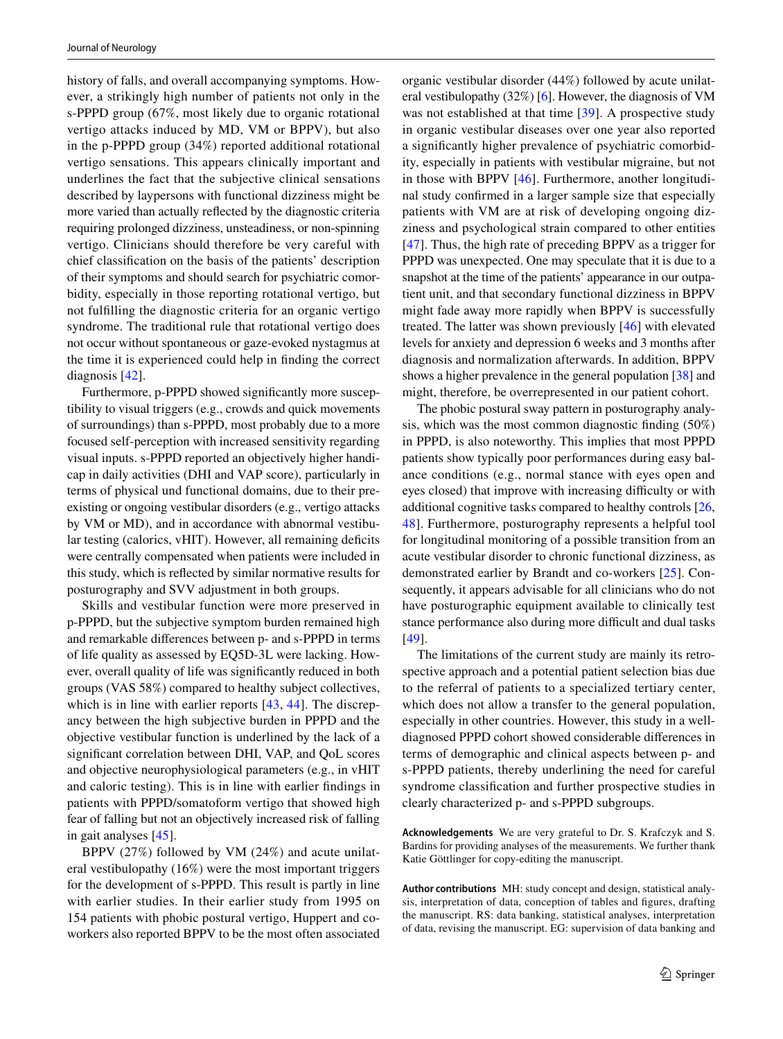history of falls, and overall accompanying symptoms. However, a strikingly high number of patients not only in the s-PPPD group (67%, most likely due to organic rotational vertigo attacks induced by MD, VM or BPPV), but also in the p-PPPD group (34%) reported additional rotational vertigo sensations. This appears clinically important and underlines the fact that the subjective clinical sensations described by laypersons with functional dizziness might be more varied than actually refected by the diagnostic criteria requiring prolonged dizziness, unsteadiness, or non-spinning vertigo. Clinicians should therefore be very careful with chief classifcation on the basis of the patients' description of their symptoms and should search for psychiatric comorbidity, especially in those reporting rotational vertigo, but not fulflling the diagnostic criteria for an organic vertigo syndrome. The traditional rule that rotational vertigo does not occur without spontaneous or gaze-evoked nystagmus at the time it is experienced could help in fnding the correct diagnosis [\[42](#page-10-10)].

Furthermore, p-PPPD showed signifcantly more susceptibility to visual triggers (e.g., crowds and quick movements of surroundings) than s-PPPD, most probably due to a more focused self-perception with increased sensitivity regarding visual inputs. s-PPPD reported an objectively higher handicap in daily activities (DHI and VAP score), particularly in terms of physical und functional domains, due to their preexisting or ongoing vestibular disorders (e.g., vertigo attacks by VM or MD), and in accordance with abnormal vestibular testing (calorics, vHIT). However, all remaining deficits were centrally compensated when patients were included in this study, which is refected by similar normative results for posturography and SVV adjustment in both groups.

Skills and vestibular function were more preserved in p-PPPD, but the subjective symptom burden remained high and remarkable diferences between p- and s-PPPD in terms of life quality as assessed by EQ5D-3L were lacking. However, overall quality of life was signifcantly reduced in both groups (VAS 58%) compared to healthy subject collectives, which is in line with earlier reports [[43,](#page-10-11) [44\]](#page-10-12). The discrepancy between the high subjective burden in PPPD and the objective vestibular function is underlined by the lack of a signifcant correlation between DHI, VAP, and QoL scores and objective neurophysiological parameters (e.g., in vHIT and caloric testing). This is in line with earlier fndings in patients with PPPD/somatoform vertigo that showed high fear of falling but not an objectively increased risk of falling in gait analyses [[45\]](#page-10-13).

BPPV (27%) followed by VM (24%) and acute unilateral vestibulopathy (16%) were the most important triggers for the development of s-PPPD. This result is partly in line with earlier studies. In their earlier study from 1995 on 154 patients with phobic postural vertigo, Huppert and coworkers also reported BPPV to be the most often associated organic vestibular disorder (44%) followed by acute unilateral vestibulopathy (32%) [[6\]](#page-9-4). However, the diagnosis of VM was not established at that time [[39\]](#page-10-7). A prospective study in organic vestibular diseases over one year also reported a signifcantly higher prevalence of psychiatric comorbidity, especially in patients with vestibular migraine, but not in those with BPPV [\[46\]](#page-10-14). Furthermore, another longitudinal study confrmed in a larger sample size that especially patients with VM are at risk of developing ongoing dizziness and psychological strain compared to other entities [[47\]](#page-10-15). Thus, the high rate of preceding BPPV as a trigger for PPPD was unexpected. One may speculate that it is due to a snapshot at the time of the patients' appearance in our outpatient unit, and that secondary functional dizziness in BPPV might fade away more rapidly when BPPV is successfully treated. The latter was shown previously [[46\]](#page-10-14) with elevated levels for anxiety and depression 6 weeks and 3 months after diagnosis and normalization afterwards. In addition, BPPV shows a higher prevalence in the general population [[38](#page-10-6)] and might, therefore, be overrepresented in our patient cohort.

The phobic postural sway pattern in posturography analysis, which was the most common diagnostic fnding (50%) in PPPD, is also noteworthy. This implies that most PPPD patients show typically poor performances during easy balance conditions (e.g., normal stance with eyes open and eyes closed) that improve with increasing difficulty or with additional cognitive tasks compared to healthy controls [[26,](#page-9-22) [48](#page-10-16)]. Furthermore, posturography represents a helpful tool for longitudinal monitoring of a possible transition from an acute vestibular disorder to chronic functional dizziness, as demonstrated earlier by Brandt and co-workers [[25](#page-9-21)]. Consequently, it appears advisable for all clinicians who do not have posturographic equipment available to clinically test stance performance also during more difficult and dual tasks [[49\]](#page-10-17).

The limitations of the current study are mainly its retrospective approach and a potential patient selection bias due to the referral of patients to a specialized tertiary center, which does not allow a transfer to the general population, especially in other countries. However, this study in a welldiagnosed PPPD cohort showed considerable diferences in terms of demographic and clinical aspects between p- and s-PPPD patients, thereby underlining the need for careful syndrome classifcation and further prospective studies in clearly characterized p- and s-PPPD subgroups.

**Acknowledgements** We are very grateful to Dr. S. Krafczyk and S. Bardins for providing analyses of the measurements. We further thank Katie Göttlinger for copy-editing the manuscript.

**Author contributions** MH: study concept and design, statistical analysis, interpretation of data, conception of tables and fgures, drafting the manuscript. RS: data banking, statistical analyses, interpretation of data, revising the manuscript. EG: supervision of data banking and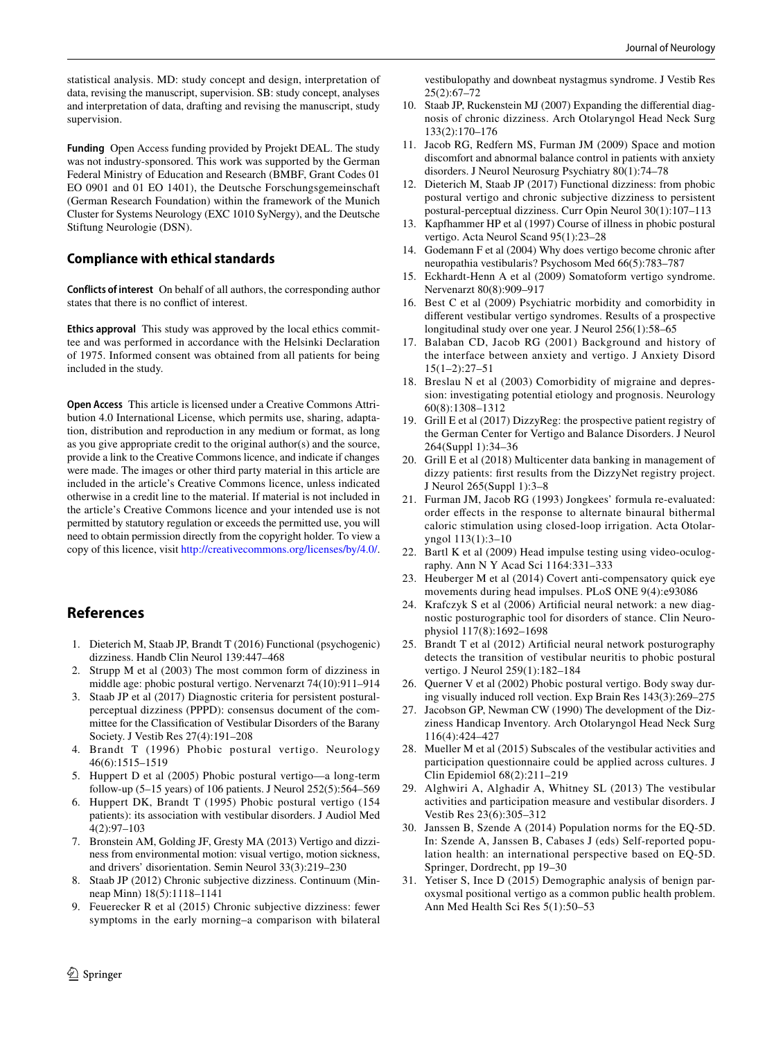statistical analysis. MD: study concept and design, interpretation of data, revising the manuscript, supervision. SB: study concept, analyses and interpretation of data, drafting and revising the manuscript, study supervision.

**Funding** Open Access funding provided by Projekt DEAL. The study was not industry-sponsored. This work was supported by the German Federal Ministry of Education and Research (BMBF, Grant Codes 01 EO 0901 and 01 EO 1401), the Deutsche Forschungsgemeinschaft (German Research Foundation) within the framework of the Munich Cluster for Systems Neurology (EXC 1010 SyNergy), and the Deutsche Stiftung Neurologie (DSN).

## **Compliance with ethical standards**

**Conflicts of interest** On behalf of all authors, the corresponding author states that there is no confict of interest.

**Ethics approval** This study was approved by the local ethics committee and was performed in accordance with the Helsinki Declaration of 1975. Informed consent was obtained from all patients for being included in the study.

**Open Access** This article is licensed under a Creative Commons Attribution 4.0 International License, which permits use, sharing, adaptation, distribution and reproduction in any medium or format, as long as you give appropriate credit to the original author(s) and the source, provide a link to the Creative Commons licence, and indicate if changes were made. The images or other third party material in this article are included in the article's Creative Commons licence, unless indicated otherwise in a credit line to the material. If material is not included in the article's Creative Commons licence and your intended use is not permitted by statutory regulation or exceeds the permitted use, you will need to obtain permission directly from the copyright holder. To view a copy of this licence, visit <http://creativecommons.org/licenses/by/4.0/>.

## **References**

- <span id="page-9-0"></span>1. Dieterich M, Staab JP, Brandt T (2016) Functional (psychogenic) dizziness. Handb Clin Neurol 139:447–468
- <span id="page-9-1"></span>2. Strupp M et al (2003) The most common form of dizziness in middle age: phobic postural vertigo. Nervenarzt 74(10):911–914
- <span id="page-9-2"></span>3. Staab JP et al (2017) Diagnostic criteria for persistent posturalperceptual dizziness (PPPD): consensus document of the committee for the Classifcation of Vestibular Disorders of the Barany Society. J Vestib Res 27(4):191–208
- <span id="page-9-3"></span>4. Brandt T (1996) Phobic postural vertigo. Neurology 46(6):1515–1519
- <span id="page-9-27"></span>5. Huppert D et al (2005) Phobic postural vertigo—a long-term follow-up (5–15 years) of 106 patients. J Neurol 252(5):564–569
- <span id="page-9-4"></span>6. Huppert DK, Brandt T (1995) Phobic postural vertigo (154 patients): its association with vestibular disorders. J Audiol Med 4(2):97–103
- <span id="page-9-5"></span>7. Bronstein AM, Golding JF, Gresty MA (2013) Vertigo and dizziness from environmental motion: visual vertigo, motion sickness, and drivers' disorientation. Semin Neurol 33(3):219–230
- <span id="page-9-6"></span>8. Staab JP (2012) Chronic subjective dizziness. Continuum (Minneap Minn) 18(5):1118–1141
- 9. Feuerecker R et al (2015) Chronic subjective dizziness: fewer symptoms in the early morning–a comparison with bilateral

vestibulopathy and downbeat nystagmus syndrome. J Vestib Res 25(2):67–72

- <span id="page-9-7"></span>10. Staab JP, Ruckenstein MJ (2007) Expanding the diferential diagnosis of chronic dizziness. Arch Otolaryngol Head Neck Surg 133(2):170–176
- <span id="page-9-8"></span>11. Jacob RG, Redfern MS, Furman JM (2009) Space and motion discomfort and abnormal balance control in patients with anxiety disorders. J Neurol Neurosurg Psychiatry 80(1):74–78
- <span id="page-9-9"></span>12. Dieterich M, Staab JP (2017) Functional dizziness: from phobic postural vertigo and chronic subjective dizziness to persistent postural-perceptual dizziness. Curr Opin Neurol 30(1):107–113
- 13. Kapfhammer HP et al (1997) Course of illness in phobic postural vertigo. Acta Neurol Scand 95(1):23–28
- <span id="page-9-13"></span>14. Godemann F et al (2004) Why does vertigo become chronic after neuropathia vestibularis? Psychosom Med 66(5):783–787
- <span id="page-9-10"></span>15. Eckhardt-Henn A et al (2009) Somatoform vertigo syndrome. Nervenarzt 80(8):909–917
- <span id="page-9-11"></span>16. Best C et al (2009) Psychiatric morbidity and comorbidity in diferent vestibular vertigo syndromes. Results of a prospective longitudinal study over one year. J Neurol 256(1):58–65
- <span id="page-9-12"></span>17. Balaban CD, Jacob RG (2001) Background and history of the interface between anxiety and vertigo. J Anxiety Disord 15(1–2):27–51
- <span id="page-9-14"></span>18. Breslau N et al (2003) Comorbidity of migraine and depression: investigating potential etiology and prognosis. Neurology 60(8):1308–1312
- <span id="page-9-15"></span>19. Grill E et al (2017) DizzyReg: the prospective patient registry of the German Center for Vertigo and Balance Disorders. J Neurol 264(Suppl 1):34–36
- <span id="page-9-16"></span>20. Grill E et al (2018) Multicenter data banking in management of dizzy patients: frst results from the DizzyNet registry project. J Neurol 265(Suppl 1):3–8
- <span id="page-9-17"></span>21. Furman JM, Jacob RG (1993) Jongkees' formula re-evaluated: order efects in the response to alternate binaural bithermal caloric stimulation using closed-loop irrigation. Acta Otolaryngol 113(1):3–10
- <span id="page-9-18"></span>22. Bartl K et al (2009) Head impulse testing using video-oculography. Ann N Y Acad Sci 1164:331–333
- <span id="page-9-19"></span>23. Heuberger M et al (2014) Covert anti-compensatory quick eye movements during head impulses. PLoS ONE 9(4):e93086
- <span id="page-9-20"></span>24. Krafczyk S et al (2006) Artifcial neural network: a new diagnostic posturographic tool for disorders of stance. Clin Neurophysiol 117(8):1692–1698
- <span id="page-9-21"></span>25. Brandt T et al (2012) Artifcial neural network posturography detects the transition of vestibular neuritis to phobic postural vertigo. J Neurol 259(1):182–184
- <span id="page-9-22"></span>26. Querner V et al (2002) Phobic postural vertigo. Body sway during visually induced roll vection. Exp Brain Res 143(3):269–275
- <span id="page-9-23"></span>27. Jacobson GP, Newman CW (1990) The development of the Dizziness Handicap Inventory. Arch Otolaryngol Head Neck Surg 116(4):424–427
- <span id="page-9-24"></span>28. Mueller M et al (2015) Subscales of the vestibular activities and participation questionnaire could be applied across cultures. J Clin Epidemiol 68(2):211–219
- <span id="page-9-25"></span>29. Alghwiri A, Alghadir A, Whitney SL (2013) The vestibular activities and participation measure and vestibular disorders. J Vestib Res 23(6):305–312
- <span id="page-9-26"></span>30. Janssen B, Szende A (2014) Population norms for the EQ-5D. In: Szende A, Janssen B, Cabases J (eds) Self-reported population health: an international perspective based on EQ-5D. Springer, Dordrecht, pp 19–30
- <span id="page-9-28"></span>31. Yetiser S, Ince D (2015) Demographic analysis of benign paroxysmal positional vertigo as a common public health problem. Ann Med Health Sci Res 5(1):50–53